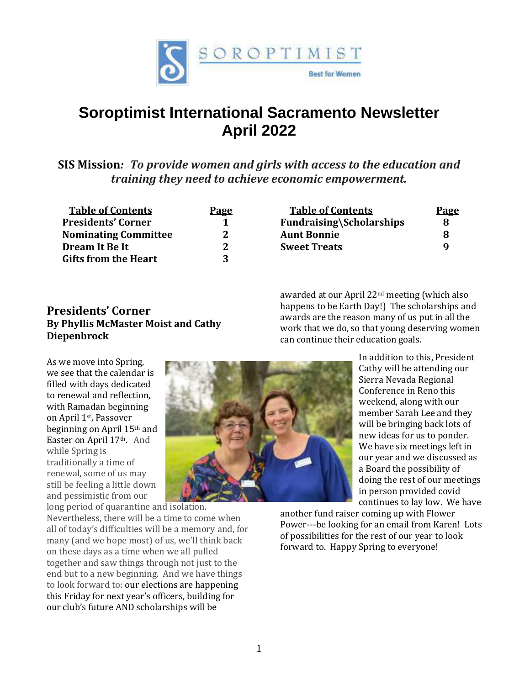

# **Soroptimist International Sacramento Newsletter April 2022**

**SIS Mission***: To provide women and girls with access to the education and training they need to achieve economic empowerment.*

| Page                |
|---------------------|
| 1                   |
| $\mathcal{L}$       |
| $\boldsymbol{\eta}$ |
| -2                  |
|                     |

| <b>Presidents' Corner</b>                  |
|--------------------------------------------|
| <b>By Phyllis McMaster Moist and Cathy</b> |
| <b>Diepenbrock</b>                         |

 **Table of Contents Page Fundraising\Scholarships** 8 **Nominating Committee 2 Aunt Bonnie 8 Sweet Treats** 9

awarded at our April 22nd meeting (which also happens to be Earth Day!) The scholarships and awards are the reason many of us put in all the work that we do, so that young deserving women can continue their education goals.

As we move into Spring, we see that the calendar is filled with days dedicated to renewal and reflection, with Ramadan beginning on April 1st, Passover beginning on April 15th and Easter on April 17<sup>th</sup>. And while Spring is traditionally a time of renewal, some of us may still be feeling a little down and pessimistic from our

long period of quarantine and isolation. Nevertheless, there will be a time to come when all of today's difficulties will be a memory and, for many (and we hope most) of us, we'll think back on these days as a time when we all pulled together and saw things through not just to the end but to a new beginning. And we have things to look forward to: our elections are happening this Friday for next year's officers, building for our club's future AND scholarships will be



In addition to this, President Cathy will be attending our Sierra Nevada Regional Conference in Reno this weekend, along with our member Sarah Lee and they will be bringing back lots of new ideas for us to ponder. We have six meetings left in our year and we discussed as a Board the possibility of doing the rest of our meetings in person provided covid continues to lay low. We have

another fund raiser coming up with Flower Power---be looking for an email from Karen! Lots of possibilities for the rest of our year to look forward to. Happy Spring to everyone!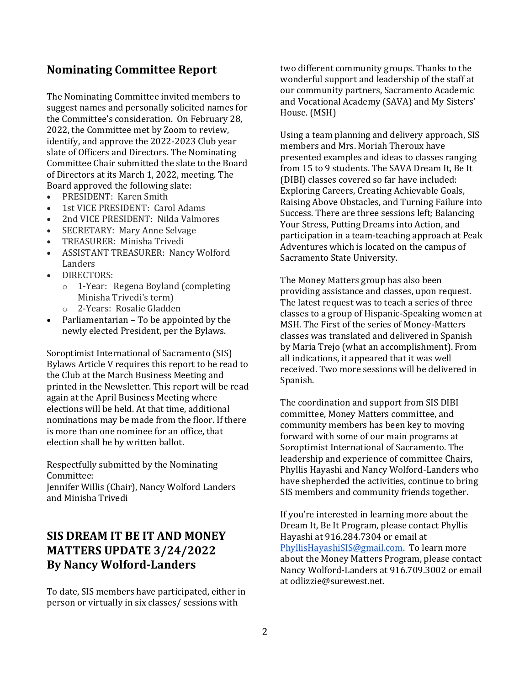### **Nominating Committee Report**

The Nominating Committee invited members to suggest names and personally solicited names for the Committee's consideration. On February 28, 2022, the Committee met by Zoom to review, identify, and approve the 2022-2023 Club year slate of Officers and Directors. The Nominating Committee Chair submitted the slate to the Board of Directors at its March 1, 2022, meeting. The Board approved the following slate:

- PRESIDENT: Karen Smith
- 1st VICE PRESIDENT: Carol Adams
- 2nd VICE PRESIDENT: Nilda Valmores
- SECRETARY: Mary Anne Selvage
- TREASURER: Minisha Trivedi
- ASSISTANT TREASURER: Nancy Wolford Landers
- **DIRECTORS:** 
	- o 1-Year: Regena Boyland (completing Minisha Trivedi's term)
	- o 2-Years: Rosalie Gladden
- Parliamentarian To be appointed by the newly elected President, per the Bylaws.

Soroptimist International of Sacramento (SIS) Bylaws Article V requires this report to be read to the Club at the March Business Meeting and printed in the Newsletter. This report will be read again at the April Business Meeting where elections will be held. At that time, additional nominations may be made from the floor. If there is more than one nominee for an office, that election shall be by written ballot.

Respectfully submitted by the Nominating Committee:

Jennifer Willis (Chair), Nancy Wolford Landers and Minisha Trivedi

# **SIS DREAM IT BE IT AND MONEY MATTERS UPDATE 3/24/2022 By Nancy Wolford-Landers**

To date, SIS members have participated, either in person or virtually in six classes/ sessions with

two different community groups. Thanks to the wonderful support and leadership of the staff at our community partners, Sacramento Academic and Vocational Academy (SAVA) and My Sisters' House. (MSH)

Using a team planning and delivery approach, SIS members and Mrs. Moriah Theroux have presented examples and ideas to classes ranging from 15 to 9 students. The SAVA Dream It, Be It (DIBI) classes covered so far have included: Exploring Careers, Creating Achievable Goals, Raising Above Obstacles, and Turning Failure into Success. There are three sessions left; Balancing Your Stress, Putting Dreams into Action, and participation in a team-teaching approach at Peak Adventures which is located on the campus of Sacramento State University.

The Money Matters group has also been providing assistance and classes, upon request. The latest request was to teach a series of three classes to a group of Hispanic-Speaking women at MSH. The First of the series of Money-Matters classes was translated and delivered in Spanish by Maria Trejo (what an accomplishment). From all indications, it appeared that it was well received. Two more sessions will be delivered in Spanish.

The coordination and support from SIS DIBI committee, Money Matters committee, and community members has been key to moving forward with some of our main programs at Soroptimist International of Sacramento. The leadership and experience of committee Chairs, Phyllis Hayashi and Nancy Wolford-Landers who have shepherded the activities, continue to bring SIS members and community friends together.

If you're interested in learning more about the Dream It, Be It Program, please contact Phyllis Hayashi at 916.284.7304 or email at [PhyllisHayashiSIS@gmail.com.](about:blank) To learn more about the Money Matters Program, please contact Nancy Wolford-Landers at 916.709.3002 or email at odlizzie@surewest.net.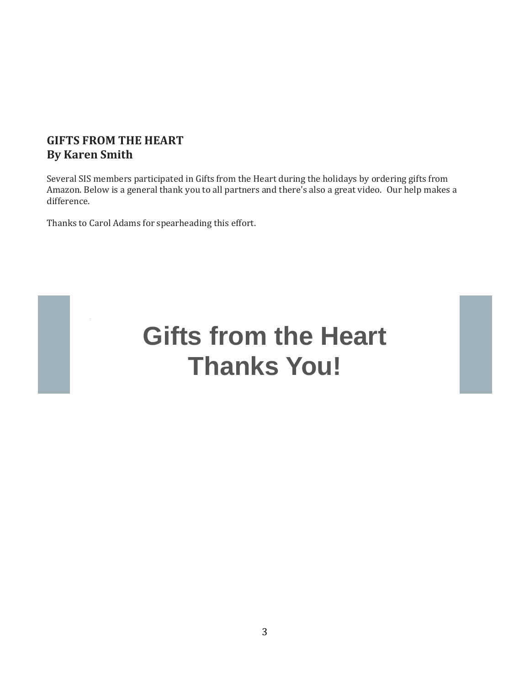# **GIFTS FROM THE HEART By Karen Smith**

Several SIS members participated in Gifts from the Heart during the holidays by ordering gifts from Amazon. Below is a general thank you to all partners and there's also a great video. Our help makes a difference.

Thanks to Carol Adams for spearheading this effort.



# **Gifts from the Heart Thanks You!**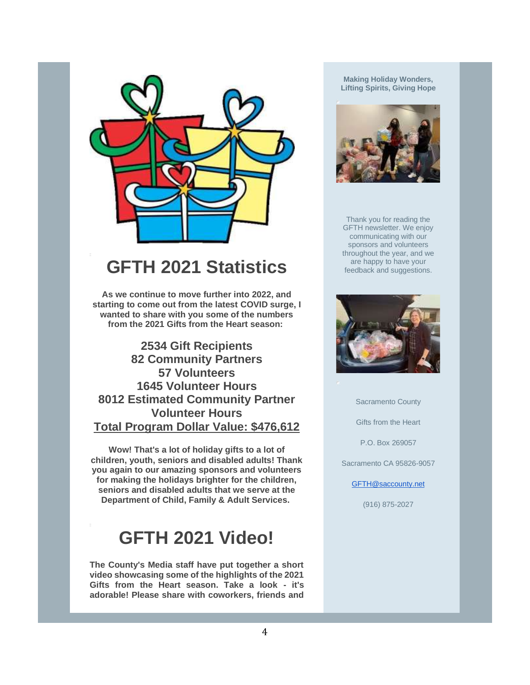

# **GFTH 2021 Statistics**

**As we continue to move further into 2022, and starting to come out from the latest COVID surge, I wanted to share with you some of the numbers from the 2021 Gifts from the Heart season:**

**2534 Gift Recipients 82 Community Partners 57 Volunteers 1645 Volunteer Hours 8012 Estimated Community Partner Volunteer Hours Total Program Dollar Value: \$476,612**

**Wow! That's a lot of holiday gifts to a lot of children, youth, seniors and disabled adults! Thank you again to our amazing sponsors and volunteers for making the holidays brighter for the children, seniors and disabled adults that we serve at the Department of Child, Family & Adult Services.**

# **GFTH 2021 Video!**

**The County's Media staff have put together a short video showcasing some of the highlights of the 2021 Gifts from the Heart season. Take a look - it's adorable! Please share with coworkers, friends and** 

**Making Holiday Wonders, Lifting Spirits, Giving Hope**



Thank you for reading the GFTH newsletter. We enjoy communicating with our sponsors and volunteers throughout the year, and we are happy to have your feedback and suggestions.



Sacramento County

Gifts from the Heart

P.O. Box 269057

Sacramento CA 95826-9057

[GFTH@saccounty.net](mailto:GFTH@saccounty.net)

(916) 875-2027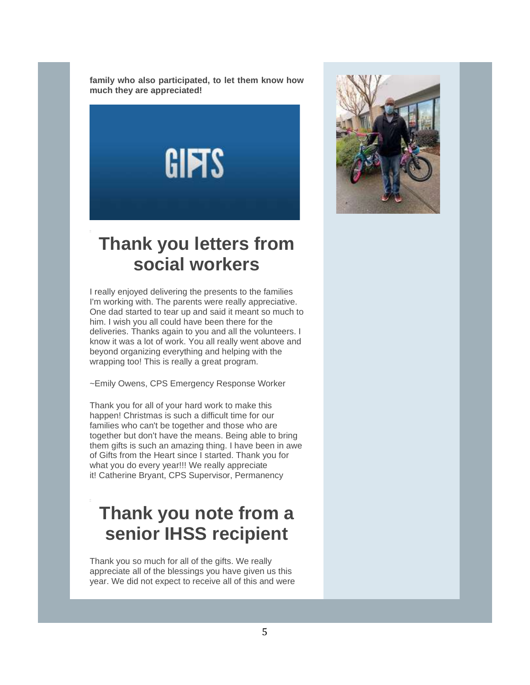**family who also participated, to let them know how much they are appreciated!**

**GIFTS** 

# **Thank you letters from social workers**

I really enjoyed delivering the presents to the families I'm working with. The parents were really appreciative. One dad started to tear up and said it meant so much to him. I wish you all could have been there for the deliveries. Thanks again to you and all the volunteers. I know it was a lot of work. You all really went above and beyond organizing everything and helping with the wrapping too! This is really a great program.

~Emily Owens, CPS Emergency Response Worker

Thank you for all of your hard work to make this happen! Christmas is such a difficult time for our families who can't be together and those who are together but don't have the means. Being able to bring them gifts is such an amazing thing. I have been in awe of Gifts from the Heart since I started. Thank you for what you do every year!!! We really appreciate it! Catherine Bryant, CPS Supervisor, Permanency

# **Thank you note from a senior IHSS recipient**

Thank you so much for all of the gifts. We really appreciate all of the blessings you have given us this year. We did not expect to receive all of this and were

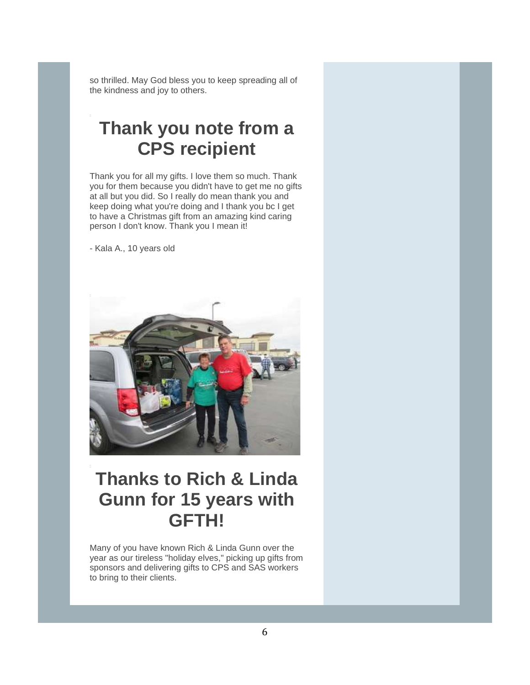so thrilled. May God bless you to keep spreading all of the kindness and joy to others.

# **Thank you note from a CPS recipient**

Thank you for all my gifts. I love them so much. Thank you for them because you didn't have to get me no gifts at all but you did. So I really do mean thank you and keep doing what you're doing and I thank you bc I get to have a Christmas gift from an amazing kind caring person I don't know. Thank you I mean it!

- Kala A., 10 years old



# **Thanks to Rich & Linda Gunn for 15 years with GFTH!**

Many of you have known Rich & Linda Gunn over the year as our tireless "holiday elves," picking up gifts from sponsors and delivering gifts to CPS and SAS workers to bring to their clients.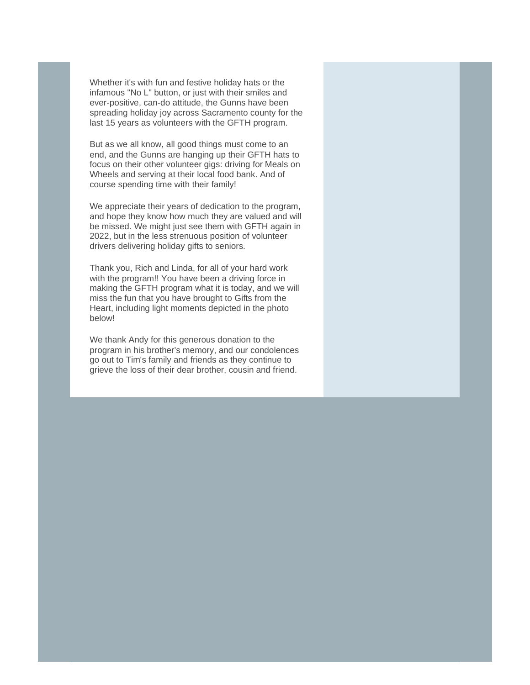Whether it's with fun and festive holiday hats or the infamous "No L" button, or just with their smiles and ever-positive, can-do attitude, the Gunns have been spreading holiday joy across Sacramento county for the last 15 years as volunteers with the GFTH program.

But as we all know, all good things must come to an end, and the Gunns are hanging up their GFTH hats to focus on their other volunteer gigs: driving for Meals on Wheels and serving at their local food bank. And of course spending time with their family!

We appreciate their years of dedication to the program, and hope they know how much they are valued and will be missed. We might just see them with GFTH again in 2022, but in the less strenuous position of volunteer drivers delivering holiday gifts to seniors.

Thank you, Rich and Linda, for all of your hard work with the program!! You have been a driving force in making the GFTH program what it is today, and we will miss the fun that you have brought to Gifts from the Heart, including light moments depicted in the photo below!

We thank Andy for this generous donation to the program in his brother's memory, and our condolences go out to Tim's family and friends as they continue to grieve the loss of their dear brother, cousin and friend.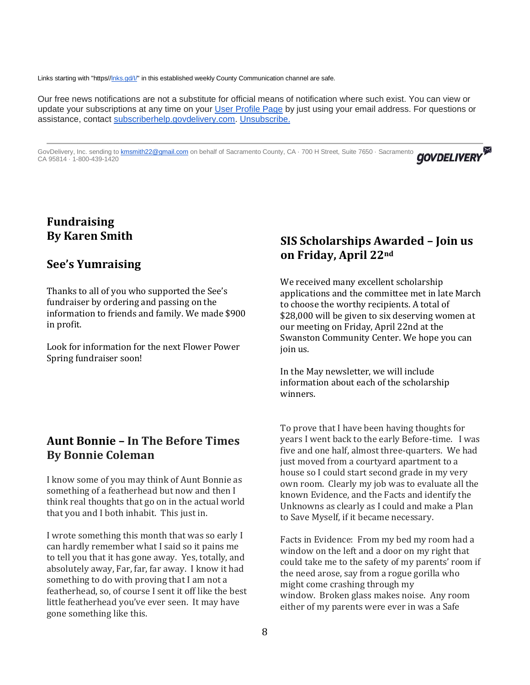Links starting with "https[//lnks.gd/I/"](http://lnks.gd/I/) in this established weekly County Communication channel are safe.

Our free news notifications are not a substitute for official means of notification where such exist. You can view or update your subscriptions at any time on your [User Profile Page](https://lnks.gd/l/eyJhbGciOiJIUzI1NiJ9.eyJidWxsZXRpbl9saW5rX2lkIjoxMDIsInVyaSI6ImJwMjpjbGljayIsImJ1bGxldGluX2lkIjoiMjAyMjAzMjQuNTU0MTkxMzEiLCJ1cmwiOiJodHRwczovL3B1YmxpYy5nb3ZkZWxpdmVyeS5jb20vYWNjb3VudHMvQ0FTQUNSQU0vc3Vic2NyaWJlci9lZGl0P3ByZWZlcmVuY2VzPXRydWUjdGFiMSJ9.t-6akM41RQzRVcP5KXLIZYwcaaiePWiuiBtko_jK4_o/s/1448035984/br/128620469461-l) by just using your email address. For questions or assistance, contact [subscriberhelp.govdelivery.com.](https://lnks.gd/l/eyJhbGciOiJIUzI1NiJ9.eyJidWxsZXRpbl9saW5rX2lkIjoxMDMsInVyaSI6ImJwMjpjbGljayIsImJ1bGxldGluX2lkIjoiMjAyMjAzMjQuNTU0MTkxMzEiLCJ1cmwiOiJodHRwczovL3N1YnNjcmliZXJoZWxwLmdvdmRlbGl2ZXJ5LmNvbS8ifQ.bMvqk9uQHorXHI6L34J-16-_lwDnmJ7ldmSmjRloAuM/s/1448035984/br/128620469461-l) [Unsubscribe.](https://lnks.gd/l/eyJhbGciOiJIUzI1NiJ9.eyJidWxsZXRpbl9saW5rX2lkIjoxMDQsInVyaSI6ImJwMjpjbGljayIsImJ1bGxldGluX2lkIjoiMjAyMjAzMjQuNTU0MTkxMzEiLCJ1cmwiOiJodHRwczovL3B1YmxpYy5nb3ZkZWxpdmVyeS5jb20vYWNjb3VudHMvQ0FTQUNSQU0vc3Vic2NyaWJlci9lZGl0P3ByZWZlcmVuY2VzPXRydWUjdGFiMSJ9.57ZN3OM7WVvr3ON1Q9F5WnR8xRCMj5VRIR10QE4376w/s/1448035984/br/128620469461-l)

GovDelivery, Inc. sending to [kmsmith22@gmail.com](mailto:kmsmith22@gmail.com) on behalf of Sacramento County, CA · 700 H Street, Suite 7650 · Sacramento **GOVDELIVERY** CA 95814 · 1-800-439-1420

## **Fundraising By Karen Smith**

#### **See's Yumraising**

Thanks to all of you who supported the See's fundraiser by ordering and passing on the information to friends and family. We made \$900 in profit.

Look for information for the next Flower Power Spring fundraiser soon!

### **Aunt Bonnie – In The Before Times By Bonnie Coleman**

I know some of you may think of Aunt Bonnie as something of a featherhead but now and then I think real thoughts that go on in the actual world that you and I both inhabit. This just in.

I wrote something this month that was so early I can hardly remember what I said so it pains me to tell you that it has gone away. Yes, totally, and absolutely away, Far, far, far away. I know it had something to do with proving that I am not a featherhead, so, of course I sent it off like the best little featherhead you've ever seen. It may have gone something like this.

### **SIS Scholarships Awarded – Join us on Friday, April 22nd**

We received many excellent scholarship applications and the committee met in late March to choose the worthy recipients. A total of \$28,000 will be given to six deserving women at our meeting on Friday, April 22nd at the Swanston Community Center. We hope you can join us.

In the May newsletter, we will include information about each of the scholarship winners.

To prove that I have been having thoughts for years I went back to the early Before-time. I was five and one half, almost three-quarters. We had just moved from a courtyard apartment to a house so I could start second grade in my very own room. Clearly my job was to evaluate all the known Evidence, and the Facts and identify the Unknowns as clearly as I could and make a Plan to Save Myself, if it became necessary.

Facts in Evidence: From my bed my room had a window on the left and a door on my right that could take me to the safety of my parents' room if the need arose, say from a rogue gorilla who might come crashing through my window. Broken glass makes noise. Any room either of my parents were ever in was a Safe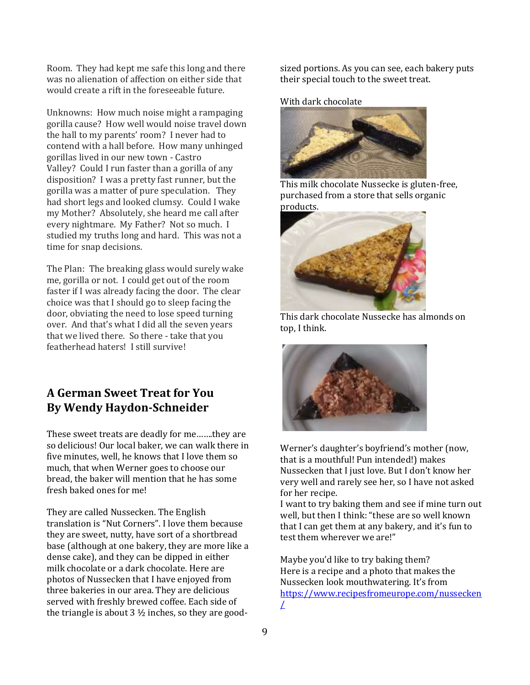Room. They had kept me safe this long and there was no alienation of affection on either side that would create a rift in the foreseeable future.

Unknowns: How much noise might a rampaging gorilla cause? How well would noise travel down the hall to my parents' room? I never had to contend with a hall before. How many unhinged gorillas lived in our new town - Castro Valley? Could I run faster than a gorilla of any disposition? I was a pretty fast runner, but the gorilla was a matter of pure speculation. They had short legs and looked clumsy. Could I wake my Mother? Absolutely, she heard me call after every nightmare. My Father? Not so much. I studied my truths long and hard. This was not a time for snap decisions.

The Plan: The breaking glass would surely wake me, gorilla or not. I could get out of the room faster if I was already facing the door. The clear choice was that I should go to sleep facing the door, obviating the need to lose speed turning over. And that's what I did all the seven years that we lived there. So there - take that you featherhead haters! I still survive!

# **A German Sweet Treat for You By Wendy Haydon-Schneider**

These sweet treats are deadly for me…….they are so delicious! Our local baker, we can walk there in five minutes, well, he knows that I love them so much, that when Werner goes to choose our bread, the baker will mention that he has some fresh baked ones for me!

They are called Nussecken. The English translation is "Nut Corners". I love them because they are sweet, nutty, have sort of a shortbread base (although at one bakery, they are more like a dense cake), and they can be dipped in either milk chocolate or a dark chocolate. Here are photos of Nussecken that I have enjoyed from three bakeries in our area. They are delicious served with freshly brewed coffee. Each side of the triangle is about  $3\frac{1}{2}$  inches, so they are goodsized portions. As you can see, each bakery puts their special touch to the sweet treat.

With dark chocolate



This milk chocolate Nussecke is gluten-free, purchased from a store that sells organic products.



This dark chocolate Nussecke has almonds on top, I think.



Werner's daughter's boyfriend's mother (now, that is a mouthful! Pun intended!) makes Nussecken that I just love. But I don't know her very well and rarely see her, so I have not asked for her recipe.

I want to try baking them and see if mine turn out well, but then I think: "these are so well known that I can get them at any bakery, and it's fun to test them wherever we are!"

Maybe you'd like to try baking them? Here is a recipe and a photo that makes the Nussecken look mouthwatering. It's from [https://www.recipesfromeurope.com/nussecken](about:blank) [/](about:blank)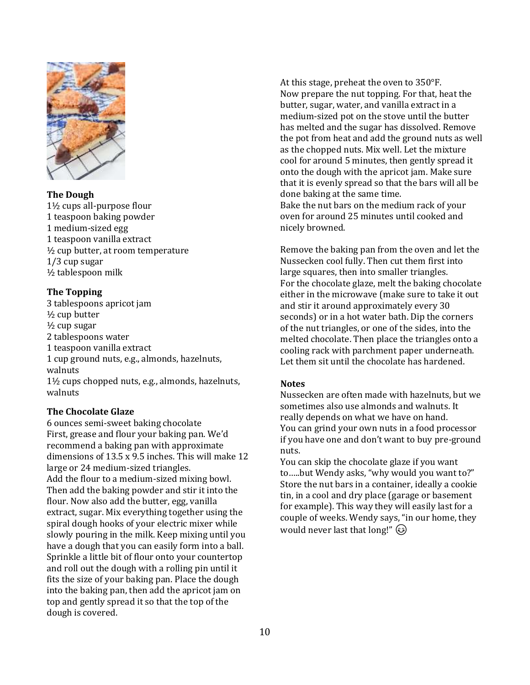

#### **The Dough**

1½ cups all-purpose flour 1 teaspoon baking powder 1 medium-sized egg 1 teaspoon vanilla extract ½ cup butter, at room temperature 1/3 cup sugar ½ tablespoon milk

#### **The Topping**

3 tablespoons apricot jam ½ cup butter ½ cup sugar 2 tablespoons water 1 teaspoon vanilla extract 1 cup ground nuts, e.g., almonds, hazelnuts, walnuts 1½ cups chopped nuts, e.g., almonds, hazelnuts,

#### **The Chocolate Glaze**

walnuts

6 ounces semi-sweet baking chocolate First, grease and flour your baking pan. We'd recommend a baking pan with approximate dimensions of 13.5 x 9.5 inches. This will make 12 large or 24 medium-sized triangles. Add the flour to a medium-sized mixing bowl. Then add the baking powder and stir it into the flour. Now also add the butter, egg, vanilla extract, sugar. Mix everything together using the spiral dough hooks of your electric mixer while slowly pouring in the milk. Keep mixing until you have a dough that you can easily form into a ball. Sprinkle a little bit of flour onto your countertop and roll out the dough with a rolling pin until it fits the size of your baking pan. Place the dough into the baking pan, then add the apricot jam on top and gently spread it so that the top of the dough is covered.

At this stage, preheat the oven to 350°F. Now prepare the nut topping. For that, heat the butter, sugar, water, and vanilla extract in a medium-sized pot on the stove until the butter has melted and the sugar has dissolved. Remove the pot from heat and add the ground nuts as well as the chopped nuts. Mix well. Let the mixture cool for around 5 minutes, then gently spread it onto the dough with the apricot jam. Make sure that it is evenly spread so that the bars will all be done baking at the same time. Bake the nut bars on the medium rack of your oven for around 25 minutes until cooked and nicely browned.

Remove the baking pan from the oven and let the Nussecken cool fully. Then cut them first into large squares, then into smaller triangles. For the chocolate glaze, melt the baking chocolate either in the microwave (make sure to take it out and stir it around approximately every 30 seconds) or in a hot water bath. Dip the corners of the nut triangles, or one of the sides, into the melted chocolate. Then place the triangles onto a cooling rack with parchment paper underneath. Let them sit until the chocolate has hardened.

#### **Notes**

Nussecken are often made with hazelnuts, but we sometimes also use almonds and walnuts. It really depends on what we have on hand. You can grind your own nuts in a food processor if you have one and don't want to buy pre-ground nuts.

You can skip the chocolate glaze if you want to…..but Wendy asks, "why would you want to?" Store the nut bars in a container, ideally a cookie tin, in a cool and dry place (garage or basement for example). This way they will easily last for a couple of weeks. Wendy says, "in our home, they would never last that long!"  $\circled{e}$